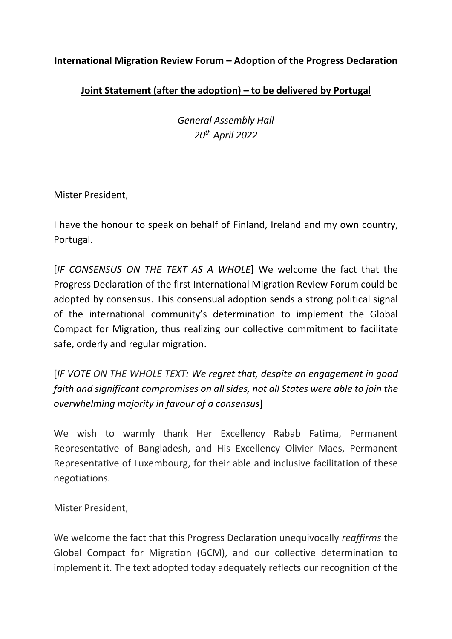## **International Migration Review Forum – Adoption of the Progress Declaration**

## **Joint Statement (after the adoption) – to be delivered by Portugal**

*General Assembly Hall 20th April 2022*

Mister President,

I have the honour to speak on behalf of Finland, Ireland and my own country, Portugal.

[*IF CONSENSUS ON THE TEXT AS A WHOLE*] We welcome the fact that the Progress Declaration of the first International Migration Review Forum could be adopted by consensus. This consensual adoption sends a strong political signal of the international community's determination to implement the Global Compact for Migration, thus realizing our collective commitment to facilitate safe, orderly and regular migration.

[*IF VOTE ON THE WHOLE TEXT: We regret that, despite an engagement in good faith and significant compromises on all sides, not all States were able to join the overwhelming majority in favour of a consensus*]

We wish to warmly thank Her Excellency Rabab Fatima, Permanent Representative of Bangladesh, and His Excellency Olivier Maes, Permanent Representative of Luxembourg, for their able and inclusive facilitation of these negotiations.

Mister President,

We welcome the fact that this Progress Declaration unequivocally *reaffirms* the Global Compact for Migration (GCM), and our collective determination to implement it. The text adopted today adequately reflects our recognition of the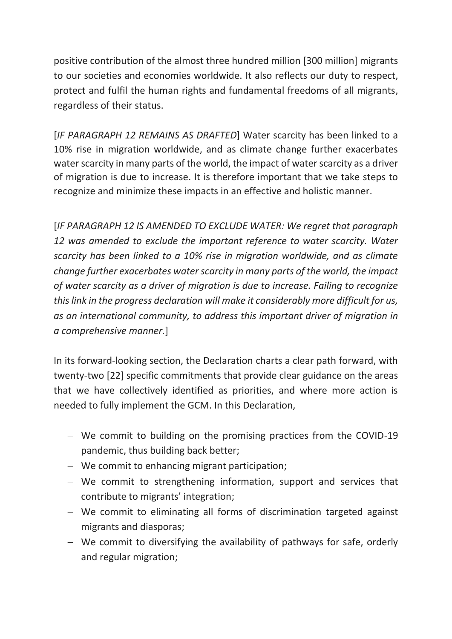positive contribution of the almost three hundred million [300 million] migrants to our societies and economies worldwide. It also reflects our duty to respect, protect and fulfil the human rights and fundamental freedoms of all migrants, regardless of their status.

[*IF PARAGRAPH 12 REMAINS AS DRAFTED*] Water scarcity has been linked to a 10% rise in migration worldwide, and as climate change further exacerbates water scarcity in many parts of the world, the impact of water scarcity as a driver of migration is due to increase. It is therefore important that we take steps to recognize and minimize these impacts in an effective and holistic manner.

[*IF PARAGRAPH 12 IS AMENDED TO EXCLUDE WATER: We regret that paragraph 12 was amended to exclude the important reference to water scarcity. Water scarcity has been linked to a 10% rise in migration worldwide, and as climate change further exacerbates water scarcity in many parts of the world, the impact of water scarcity as a driver of migration is due to increase. Failing to recognize this link in the progress declaration will make it considerably more difficult for us, as an international community, to address this important driver of migration in a comprehensive manner.*]

In its forward-looking section, the Declaration charts a clear path forward, with twenty-two [22] specific commitments that provide clear guidance on the areas that we have collectively identified as priorities, and where more action is needed to fully implement the GCM. In this Declaration,

- − We commit to building on the promising practices from the COVID-19 pandemic, thus building back better;
- − We commit to enhancing migrant participation;
- − We commit to strengthening information, support and services that contribute to migrants' integration;
- − We commit to eliminating all forms of discrimination targeted against migrants and diasporas;
- − We commit to diversifying the availability of pathways for safe, orderly and regular migration;